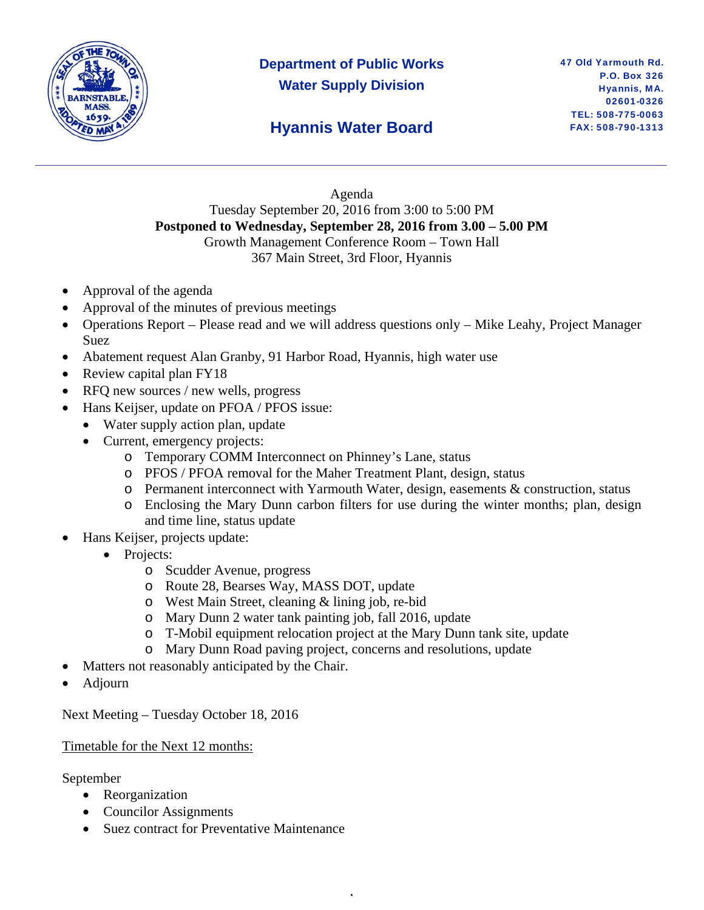

# **Department of Public Works Water Supply Division**

### **Hyannis Water Board**

#### Agenda Tuesday September 20, 2016 from 3:00 to 5:00 PM **Postponed to Wednesday, September 28, 2016 from 3.00 – 5.00 PM**  Growth Management Conference Room – Town Hall 367 Main Street, 3rd Floor, Hyannis

- Approval of the agenda
- Approval of the minutes of previous meetings
- Operations Report Please read and we will address questions only Mike Leahy, Project Manager Suez
- Abatement request Alan Granby, 91 Harbor Road, Hyannis, high water use
- Review capital plan FY18
- RFQ new sources / new wells, progress
- Hans Keijser, update on PFOA / PFOS issue:
	- Water supply action plan, update
	- Current, emergency projects:
		- o Temporary COMM Interconnect on Phinney's Lane, status
		- o PFOS / PFOA removal for the Maher Treatment Plant, design, status
		- $\circ$  Permanent interconnect with Yarmouth Water, design, easements & construction, status
		- o Enclosing the Mary Dunn carbon filters for use during the winter months; plan, design and time line, status update
- Hans Keijser, projects update:
	- Projects:
		- o Scudder Avenue, progress
		- o Route 28, Bearses Way, MASS DOT, update
		- o West Main Street, cleaning & lining job, re-bid
		- o Mary Dunn 2 water tank painting job, fall 2016, update
		- o T-Mobil equipment relocation project at the Mary Dunn tank site, update

,

- o Mary Dunn Road paving project, concerns and resolutions, update
- Matters not reasonably anticipated by the Chair.
- Adjourn

Next Meeting – Tuesday October 18, 2016

#### Timetable for the Next 12 months:

September

- Reorganization
- Councilor Assignments
- Suez contract for Preventative Maintenance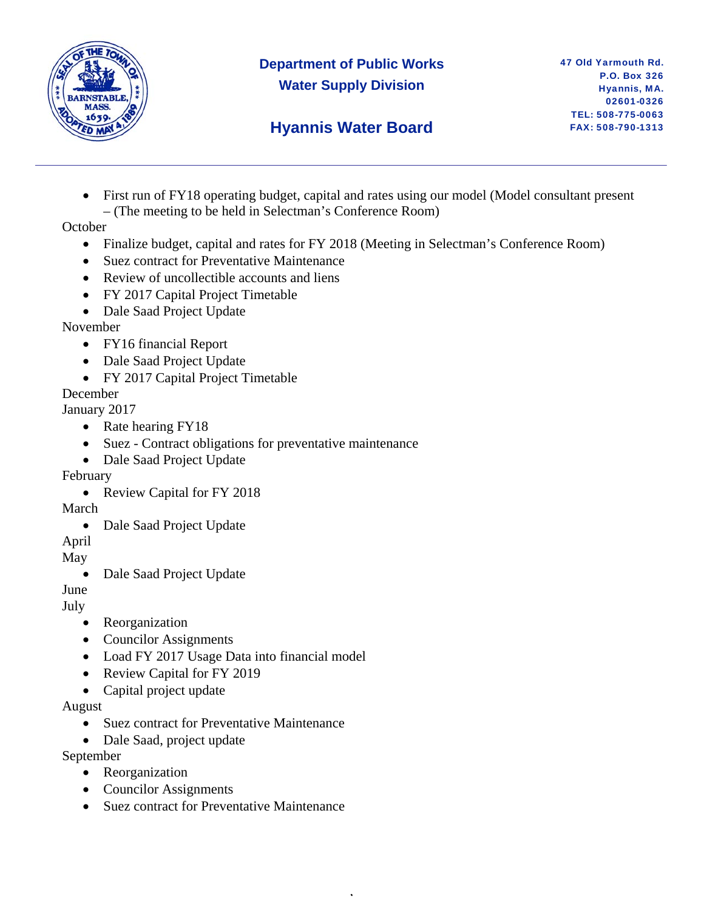

### **Department of Public Works Water Supply Division**

## **Hyannis Water Board**

• First run of FY18 operating budget, capital and rates using our model (Model consultant present – (The meeting to be held in Selectman's Conference Room)

**October** 

• Finalize budget, capital and rates for FY 2018 (Meeting in Selectman's Conference Room)

,

- Suez contract for Preventative Maintenance
- Review of uncollectible accounts and liens
- FY 2017 Capital Project Timetable
- Dale Saad Project Update

November

- FY16 financial Report
- Dale Saad Project Update
- FY 2017 Capital Project Timetable

December

January 2017

- Rate hearing FY18
- Suez Contract obligations for preventative maintenance
- Dale Saad Project Update

#### February

• Review Capital for FY 2018

March

• Dale Saad Project Update

April

May

• Dale Saad Project Update

June

July

- Reorganization
- Councilor Assignments
- Load FY 2017 Usage Data into financial model
- Review Capital for FY 2019
- Capital project update

August

- Suez contract for Preventative Maintenance
- Dale Saad, project update

September

- Reorganization
- Councilor Assignments
- Suez contract for Preventative Maintenance